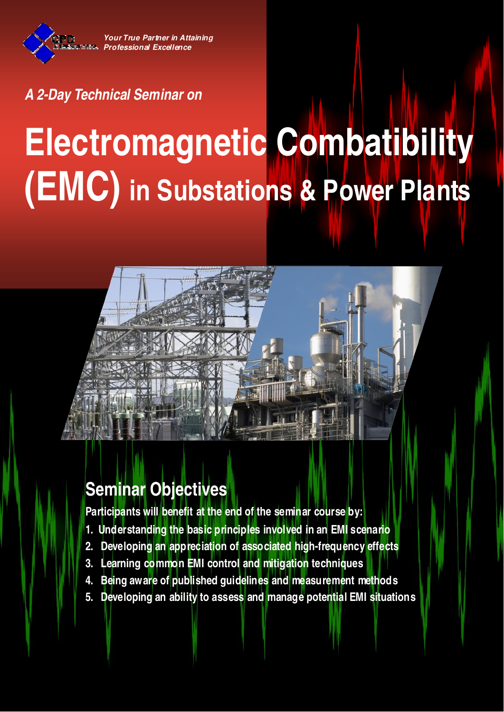**Your True Partner in Attaining Professional Excellence**

### **A 2-Day Technical Seminar on**

# **Electromagnetic Combatibility (EMC) in Substations & Power Plants**



# **Seminar Objectives**

**Participants will benefit at the end of the seminar course by:**

- **1. Understanding the basic principles involved in an EMI scenario**
- **2. Developing an appreciation of associated high-frequency effects**
- **3. Learning common EMI control and mitigation techniques**
- **4. Being aware of published guidelines and measurement methods**
- **5. Developing an ability to assess and manage potential EMI situations**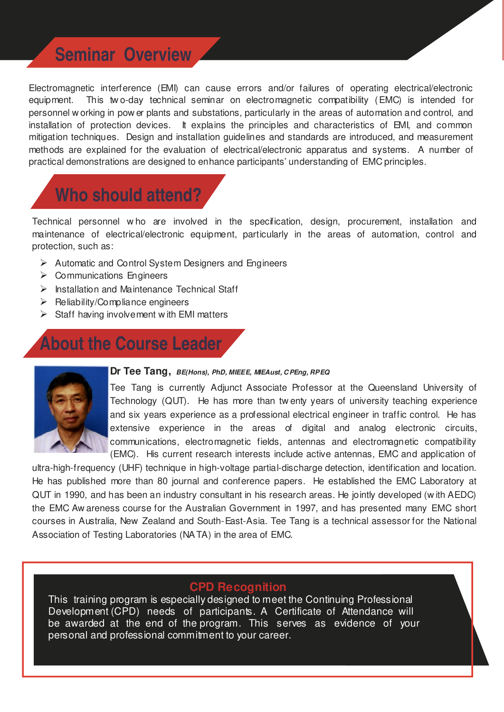## **Seminar Overview**

Electromagnetic interference (EMI) can cause errors and/or failures of operating electrical/electronic equipment. This tw o-day technical seminar on electromagnetic compatibility (EMC) is intended for personnel w orking in pow er plants and substations, particularly in the areas of automation and control, and installation of protection devices. It explains the principles and characteristics of EMI, and common mitigation techniques. Design and installation guidelines and standards are introduced, and measurement methods are explained for the evaluation of electrical/electronic apparatus and systems. A number of practical demonstrations are designed to enhance participants' understanding of EMC principles.

# **Who should attend?**

Technical personnel w ho are involved in the specification, design, procurement, installation and maintenance of electrical/electronic equipment, particularly in the areas of automation, control and protection, such as:

- $\triangleright$  Automatic and Control System Designers and Engineers
- $\triangleright$  Communications Engineers
- $\triangleright$  Installation and Maintenance Technical Staff
- $\triangleright$  Reliability/Compliance engineers
- $\triangleright$  Staff having involvement with EMI matters

# **About the Course Leader**



#### **Dr Tee Tang, BE(Hons), PhD, MIEEE, MIEAust, C PEng, RPEQ**

Tee Tang is currently Adjunct Associate Professor at the Queensland University of Technology (QUT). He has more than tw enty years of university teaching experience and six years experience as a professional electrical engineer in traffic control. He has extensive experience in the areas of digital and analog electronic circuits, communications, electromagnetic fields, antennas and electromagnetic compatibility (EMC). His current research interests include active antennas, EMC and application of

ultra-high-frequency (UHF) technique in high-voltage partial-discharge detection, identification and location. He has published more than 80 journal and conference papers. He established the EMC Laboratory at QUT in 1990, and has been an industry consultant in his research areas. He jointly developed (w ith AEDC) the EMC Aw areness course for the Australian Government in 1997, and has presented many EMC short courses in Australia, New Zealand and South-East-Asia. Tee Tang is a technical assessor for the National Association of Testing Laboratories (NA TA) in the area of EMC.

#### **CPD Recognition**

This training program is especially designed to meet the Continuing Professional Development (CPD) needs of participants. A Certificate of Attendance will be awarded at the end of the program. This serves as evidence of your personal and professional commitment to your career.